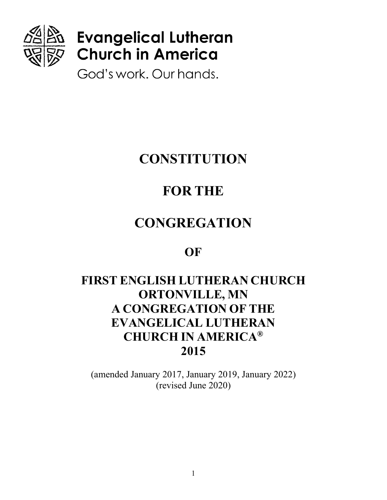

# **Evangelical Lutheran Church in America**

God's work. Our hands.

# **CONSTITUTION**

# **FOR THE**

# **CONGREGATION**

# **OF**

# **FIRST ENGLISH LUTHERAN CHURCH ORTONVILLE, MN A CONGREGATION OF THE EVANGELICAL LUTHERAN CHURCH IN AMERICA® 2015**

(amended January 2017, January 2019, January 2022) (revised June 2020)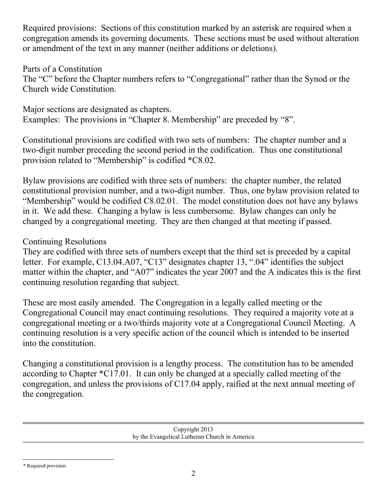Required provisions: Sections of this constitution marked by an asterisk are required when a congregation amends its governing documents. These sections must be used without alteration or amendment of the text in any manner (neither additions or deletions).

## Parts of a Constitution

The "C" before the Chapter numbers refers to "Congregational" rather than the Synod or the Church wide Constitution.

Major sections are designated as chapters. Examples: The provisions in "Chapter 8. Membership" are preceded by "8".

Constitutional provisions are codified with two sets of numbers: The chapter number and a two-digit number preceding the second period in the codification. Thus one constitutional provision related to "Membership" is codified \*C8.02.

Bylaw provisions are codified with three sets of numbers: the chapter number, the related constitutional provision number, and a two-digit number. Thus, one bylaw provision related to "Membership" would be codified C8.02.01. The model constitution does not have any bylaws in it. We add these. Changing a bylaw is less cumbersome. Bylaw changes can only be changed by a congregational meeting. They are then changed at that meeting if passed.

## Continuing Resolutions

They are codified with three sets of numbers except that the third set is preceded by a capital letter. For example, C13.04.A07, "C13" designates chapter 13, ".04" identifies the subject matter within the chapter, and "A07" indicates the year 2007 and the A indicates this is the first continuing resolution regarding that subject.

These are most easily amended. The Congregation in a legally called meeting or the Congregational Council may enact continuing resolutions. They required a majority vote at a congregational meeting or a two/thirds majority vote at a Congregational Council Meeting. A continuing resolution is a very specific action of the council which is intended to be inserted into the constitution.

Changing a constitutional provision is a lengthy process. The constitution has to be amended according to Chapter \*C17.01. It can only be changed at a specially called meeting of the congregation, and unless the provisions of C17.04 apply, raified at the next annual meeting of the congregation.

> Copyright 2013 by the Evangelical Lutheran Church in America

<sup>\*</sup> Required provision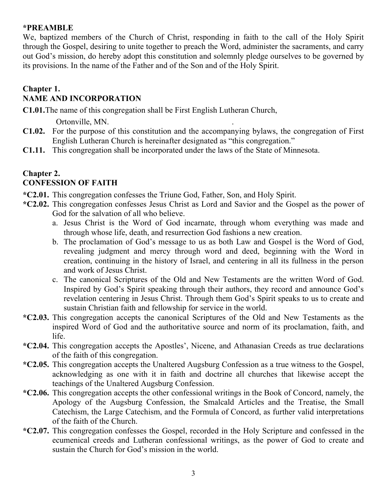#### **\*PREAMBLE**

We, baptized members of the Church of Christ, responding in faith to the call of the Holy Spirit through the Gospel, desiring to unite together to preach the Word, administer the sacraments, and carry out God's mission, do hereby adopt this constitution and solemnly pledge ourselves to be governed by its provisions. In the name of the Father and of the Son and of the Holy Spirit.

#### **Chapter 1. NAME AND INCORPORATION**

**C1.01.**The name of this congregation shall be First English Lutheran Church,

Ortonville, MN. .

- **C1.02.** For the purpose of this constitution and the accompanying bylaws, the congregation of First English Lutheran Church is hereinafter designated as "this congregation."
- **C1.11.** This congregation shall be incorporated under the laws of the State of Minnesota.

#### **Chapter 2. CONFESSION OF FAITH**

- **\*C2.01.** This congregation confesses the Triune God, Father, Son, and Holy Spirit.
- **\*C2.02.** This congregation confesses Jesus Christ as Lord and Savior and the Gospel as the power of God for the salvation of all who believe.
	- a. Jesus Christ is the Word of God incarnate, through whom everything was made and through whose life, death, and resurrection God fashions a new creation.
	- b. The proclamation of God's message to us as both Law and Gospel is the Word of God, revealing judgment and mercy through word and deed, beginning with the Word in creation, continuing in the history of Israel, and centering in all its fullness in the person and work of Jesus Christ.
	- c. The canonical Scriptures of the Old and New Testaments are the written Word of God. Inspired by God's Spirit speaking through their authors, they record and announce God's revelation centering in Jesus Christ. Through them God's Spirit speaks to us to create and sustain Christian faith and fellowship for service in the world.
- **\*C2.03.** This congregation accepts the canonical Scriptures of the Old and New Testaments as the inspired Word of God and the authoritative source and norm of its proclamation, faith, and life.
- **\*C2.04.** This congregation accepts the Apostles', Nicene, and Athanasian Creeds as true declarations of the faith of this congregation.
- **\*C2.05.** This congregation accepts the Unaltered Augsburg Confession as a true witness to the Gospel, acknowledging as one with it in faith and doctrine all churches that likewise accept the teachings of the Unaltered Augsburg Confession.
- **\*C2.06.** This congregation accepts the other confessional writings in the Book of Concord, namely, the Apology of the Augsburg Confession, the Smalcald Articles and the Treatise, the Small Catechism, the Large Catechism, and the Formula of Concord, as further valid interpretations of the faith of the Church.
- **\*C2.07.** This congregation confesses the Gospel, recorded in the Holy Scripture and confessed in the ecumenical creeds and Lutheran confessional writings, as the power of God to create and sustain the Church for God's mission in the world.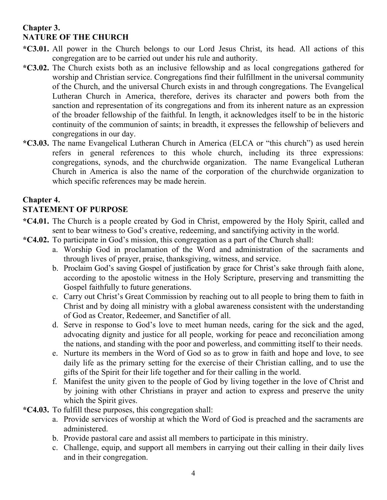# **Chapter 3. NATURE OF THE CHURCH**

- **\*C3.01.** All power in the Church belongs to our Lord Jesus Christ, its head. All actions of this congregation are to be carried out under his rule and authority.
- **\*C3.02.** The Church exists both as an inclusive fellowship and as local congregations gathered for worship and Christian service. Congregations find their fulfillment in the universal community of the Church, and the universal Church exists in and through congregations. The Evangelical Lutheran Church in America, therefore, derives its character and powers both from the sanction and representation of its congregations and from its inherent nature as an expression of the broader fellowship of the faithful. In length, it acknowledges itself to be in the historic continuity of the communion of saints; in breadth, it expresses the fellowship of believers and congregations in our day.
- **\*C3.03.** The name Evangelical Lutheran Church in America (ELCA or "this church") as used herein refers in general references to this whole church, including its three expressions: congregations, synods, and the churchwide organization. The name Evangelical Lutheran Church in America is also the name of the corporation of the churchwide organization to which specific references may be made herein.

## **Chapter 4.**

## **STATEMENT OF PURPOSE**

- **\*C4.01.** The Church is a people created by God in Christ, empowered by the Holy Spirit, called and sent to bear witness to God's creative, redeeming, and sanctifying activity in the world.
- **\*C4.02.** To participate in God's mission, this congregation as a part of the Church shall:
	- a. Worship God in proclamation of the Word and administration of the sacraments and through lives of prayer, praise, thanksgiving, witness, and service.
	- b. Proclaim God's saving Gospel of justification by grace for Christ's sake through faith alone, according to the apostolic witness in the Holy Scripture, preserving and transmitting the Gospel faithfully to future generations.
	- c. Carry out Christ's Great Commission by reaching out to all people to bring them to faith in Christ and by doing all ministry with a global awareness consistent with the understanding of God as Creator, Redeemer, and Sanctifier of all.
	- d. Serve in response to God's love to meet human needs, caring for the sick and the aged, advocating dignity and justice for all people, working for peace and reconciliation among the nations, and standing with the poor and powerless, and committing itself to their needs.
	- e. Nurture its members in the Word of God so as to grow in faith and hope and love, to see daily life as the primary setting for the exercise of their Christian calling, and to use the gifts of the Spirit for their life together and for their calling in the world.
	- f. Manifest the unity given to the people of God by living together in the love of Christ and by joining with other Christians in prayer and action to express and preserve the unity which the Spirit gives.
- **\*C4.03.** To fulfill these purposes, this congregation shall:
	- a. Provide services of worship at which the Word of God is preached and the sacraments are administered.
	- b. Provide pastoral care and assist all members to participate in this ministry.
	- c. Challenge, equip, and support all members in carrying out their calling in their daily lives and in their congregation.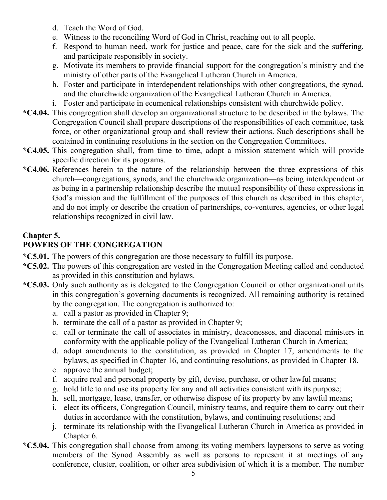- d. Teach the Word of God.
- e. Witness to the reconciling Word of God in Christ, reaching out to all people.
- f. Respond to human need, work for justice and peace, care for the sick and the suffering, and participate responsibly in society.
- g. Motivate its members to provide financial support for the congregation's ministry and the ministry of other parts of the Evangelical Lutheran Church in America.
- h. Foster and participate in interdependent relationships with other congregations, the synod, and the churchwide organization of the Evangelical Lutheran Church in America.
- i. Foster and participate in ecumenical relationships consistent with churchwide policy.
- **\*C4.04.** This congregation shall develop an organizational structure to be described in the bylaws. The Congregation Council shall prepare descriptions of the responsibilities of each committee, task force, or other organizational group and shall review their actions. Such descriptions shall be contained in continuing resolutions in the section on the Congregation Committees.
- **\*C4.05.** This congregation shall, from time to time, adopt a mission statement which will provide specific direction for its programs.
- **\*C4.06.** References herein to the nature of the relationship between the three expressions of this church—congregations, synods, and the churchwide organization—as being interdependent or as being in a partnership relationship describe the mutual responsibility of these expressions in God's mission and the fulfillment of the purposes of this church as described in this chapter, and do not imply or describe the creation of partnerships, co-ventures, agencies, or other legal relationships recognized in civil law.

# **Chapter 5.**

# **POWERS OF THE CONGREGATION**

- **\*C5.01.** The powers of this congregation are those necessary to fulfill its purpose.
- **\*C5.02.** The powers of this congregation are vested in the Congregation Meeting called and conducted as provided in this constitution and bylaws.
- **\*C5.03.** Only such authority as is delegated to the Congregation Council or other organizational units in this congregation's governing documents is recognized. All remaining authority is retained by the congregation. The congregation is authorized to:
	- a. call a pastor as provided in Chapter 9;
	- b. terminate the call of a pastor as provided in Chapter 9;
	- c. call or terminate the call of associates in ministry, deaconesses, and diaconal ministers in conformity with the applicable policy of the Evangelical Lutheran Church in America;
	- d. adopt amendments to the constitution, as provided in Chapter 17, amendments to the bylaws, as specified in Chapter 16, and continuing resolutions, as provided in Chapter 18.
	- e. approve the annual budget;
	- f. acquire real and personal property by gift, devise, purchase, or other lawful means;
	- g. hold title to and use its property for any and all activities consistent with its purpose;
	- h. sell, mortgage, lease, transfer, or otherwise dispose of its property by any lawful means;
	- i. elect its officers, Congregation Council, ministry teams, and require them to carry out their duties in accordance with the constitution, bylaws, and continuing resolutions; and
	- j. terminate its relationship with the Evangelical Lutheran Church in America as provided in Chapter 6.
- **\*C5.04.** This congregation shall choose from among its voting members laypersons to serve as voting members of the Synod Assembly as well as persons to represent it at meetings of any conference, cluster, coalition, or other area subdivision of which it is a member. The number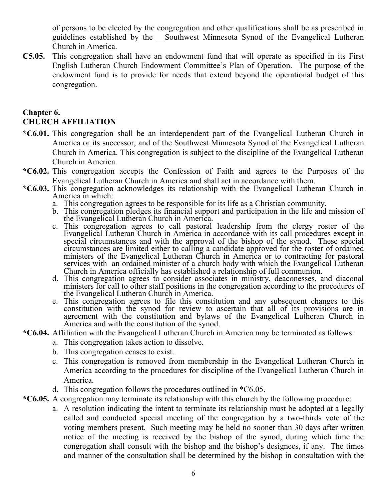of persons to be elected by the congregation and other qualifications shall be as prescribed in guidelines established by the Southwest Minnesota Synod of the Evangelical Lutheran Church in America.

**C5.05.** This congregation shall have an endowment fund that will operate as specified in its First English Lutheran Church Endowment Committee's Plan of Operation. The purpose of the endowment fund is to provide for needs that extend beyond the operational budget of this congregation.

#### **Chapter 6. CHURCH AFFILIATION**

- **\*C6.01.** This congregation shall be an interdependent part of the Evangelical Lutheran Church in America or its successor, and of the Southwest Minnesota Synod of the Evangelical Lutheran Church in America. This congregation is subject to the discipline of the Evangelical Lutheran Church in America.
- **\*C6.02.** This congregation accepts the Confession of Faith and agrees to the Purposes of the Evangelical Lutheran Church in America and shall act in accordance with them.
- **\*C6.03.** This congregation acknowledges its relationship with the Evangelical Lutheran Church in America in which:
	- a. This congregation agrees to be responsible for its life as a Christian community.
	- b. This congregation pledges its financial support and participation in the life and mission of the Evangelical Lutheran Church in America.
	- c. This congregation agrees to call pastoral leadership from the clergy roster of the Evangelical Lutheran Church in America in accordance with its call procedures except in special circumstances and with the approval of the bishop of the synod. These special circumstances are limited either to calling a candidate approved for the roster of ordained ministers of the Evangelical Lutheran Church in America or to contracting for pastoral services with an ordained minister of a church body with which the Evangelical Lutheran Church in America officially has established a relationship of full communion.
	- d. This congregation agrees to consider associates in ministry, deaconesses, and diaconal ministers for call to other staff positions in the congregation according to the procedures of the Evangelical Lutheran Church in America.
	- e. This congregation agrees to file this constitution and any subsequent changes to this constitution with the synod for review to ascertain that all of its provisions are in agreement with the constitution and bylaws of the Evangelical Lutheran Church in America and with the constitution of the synod.

#### **\*C6.04.** Affiliation with the Evangelical Lutheran Church in America may be terminated as follows:

- a. This congregation takes action to dissolve.
- b. This congregation ceases to exist.
- c. This congregation is removed from membership in the Evangelical Lutheran Church in America according to the procedures for discipline of the Evangelical Lutheran Church in America.
- d. This congregation follows the procedures outlined in \*C6.05.
- **\*C6.05.** A congregation may terminate its relationship with this church by the following procedure:
	- a. A resolution indicating the intent to terminate its relationship must be adopted at a legally called and conducted special meeting of the congregation by a two-thirds vote of the voting members present. Such meeting may be held no sooner than 30 days after written notice of the meeting is received by the bishop of the synod, during which time the congregation shall consult with the bishop and the bishop's designees, if any. The times and manner of the consultation shall be determined by the bishop in consultation with the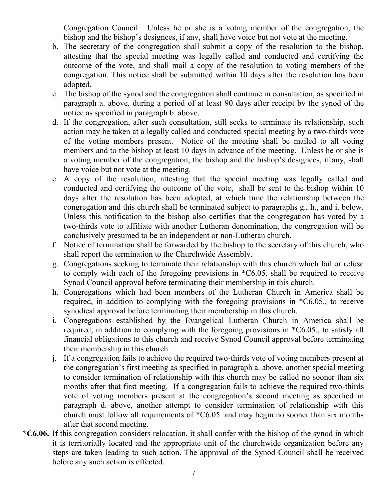Congregation Council. Unless he or she is a voting member of the congregation, the bishop and the bishop's designees, if any, shall have voice but not vote at the meeting.

- b. The secretary of the congregation shall submit a copy of the resolution to the bishop, attesting that the special meeting was legally called and conducted and certifying the outcome of the vote, and shall mail a copy of the resolution to voting members of the congregation. This notice shall be submitted within 10 days after the resolution has been adopted.
- c. The bishop of the synod and the congregation shall continue in consultation, as specified in paragraph a. above, during a period of at least 90 days after receipt by the synod of the notice as specified in paragraph b. above.
- d. If the congregation, after such consultation, still seeks to terminate its relationship, such action may be taken at a legally called and conducted special meeting by a two-thirds vote of the voting members present. Notice of the meeting shall be mailed to all voting members and to the bishop at least 10 days in advance of the meeting. Unless he or she is a voting member of the congregation, the bishop and the bishop's designees, if any, shall have voice but not vote at the meeting.
- e. A copy of the resolution, attesting that the special meeting was legally called and conducted and certifying the outcome of the vote, shall be sent to the bishop within 10 days after the resolution has been adopted, at which time the relationship between the congregation and this church shall be terminated subject to paragraphs g., h., and i. below. Unless this notification to the bishop also certifies that the congregation has voted by a two-thirds vote to affiliate with another Lutheran denomination, the congregation will be conclusively presumed to be an independent or non-Lutheran church.
- f. Notice of termination shall be forwarded by the bishop to the secretary of this church, who shall report the termination to the Churchwide Assembly.
- g. Congregations seeking to terminate their relationship with this church which fail or refuse to comply with each of the foregoing provisions in \*C6.05. shall be required to receive Synod Council approval before terminating their membership in this church.
- h. Congregations which had been members of the Lutheran Church in America shall be required, in addition to complying with the foregoing provisions in \*C6.05., to receive synodical approval before terminating their membership in this church.
- i. Congregations established by the Evangelical Lutheran Church in America shall be required, in addition to complying with the foregoing provisions in  $*C6.05$ , to satisfy all financial obligations to this church and receive Synod Council approval before terminating their membership in this church.
- j. If a congregation fails to achieve the required two-thirds vote of voting members present at the congregation's first meeting as specified in paragraph a. above, another special meeting to consider termination of relationship with this church may be called no sooner than six months after that first meeting. If a congregation fails to achieve the required two-thirds vote of voting members present at the congregation's second meeting as specified in paragraph d. above, another attempt to consider termination of relationship with this church must follow all requirements of \*C6.05. and may begin no sooner than six months after that second meeting.
- **\*C6.06.** If this congregation considers relocation, it shall confer with the bishop of the synod in which it is territorially located and the appropriate unit of the churchwide organization before any steps are taken leading to such action. The approval of the Synod Council shall be received before any such action is effected.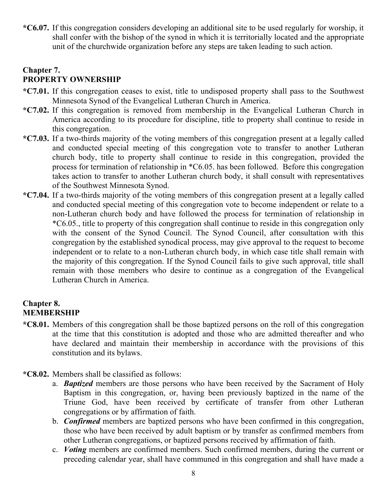**\*C6.07.** If this congregation considers developing an additional site to be used regularly for worship, it shall confer with the bishop of the synod in which it is territorially located and the appropriate unit of the churchwide organization before any steps are taken leading to such action.

## **Chapter 7. PROPERTY OWNERSHIP**

- **\*C7.01.** If this congregation ceases to exist, title to undisposed property shall pass to the Southwest Minnesota Synod of the Evangelical Lutheran Church in America.
- **\*C7.02.** If this congregation is removed from membership in the Evangelical Lutheran Church in America according to its procedure for discipline, title to property shall continue to reside in this congregation.
- **\*C7.03.** If a two-thirds majority of the voting members of this congregation present at a legally called and conducted special meeting of this congregation vote to transfer to another Lutheran church body, title to property shall continue to reside in this congregation, provided the process for termination of relationship in \*C6.05. has been followed. Before this congregation takes action to transfer to another Lutheran church body, it shall consult with representatives of the Southwest Minnesota Synod.
- **\*C7.04.** If a two-thirds majority of the voting members of this congregation present at a legally called and conducted special meeting of this congregation vote to become independent or relate to a non-Lutheran church body and have followed the process for termination of relationship in \*C6.05., title to property of this congregation shall continue to reside in this congregation only with the consent of the Synod Council. The Synod Council, after consultation with this congregation by the established synodical process, may give approval to the request to become independent or to relate to a non-Lutheran church body, in which case title shall remain with the majority of this congregation. If the Synod Council fails to give such approval, title shall remain with those members who desire to continue as a congregation of the Evangelical Lutheran Church in America.

# **Chapter 8. MEMBERSHIP**

- **\*C8.01.** Members of this congregation shall be those baptized persons on the roll of this congregation at the time that this constitution is adopted and those who are admitted thereafter and who have declared and maintain their membership in accordance with the provisions of this constitution and its bylaws.
- **\*C8.02.** Members shall be classified as follows:
	- a. *Baptized* members are those persons who have been received by the Sacrament of Holy Baptism in this congregation, or, having been previously baptized in the name of the Triune God, have been received by certificate of transfer from other Lutheran congregations or by affirmation of faith.
	- b. *Confirmed* members are baptized persons who have been confirmed in this congregation, those who have been received by adult baptism or by transfer as confirmed members from other Lutheran congregations, or baptized persons received by affirmation of faith.
	- c. *Voting* members are confirmed members. Such confirmed members, during the current or preceding calendar year, shall have communed in this congregation and shall have made a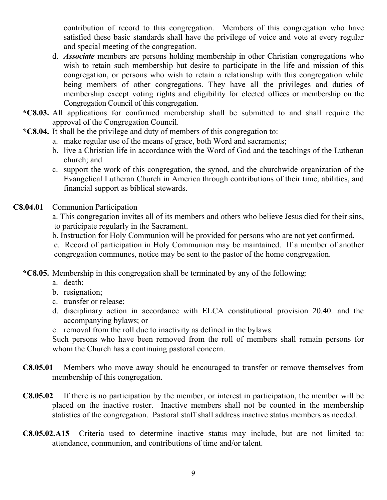contribution of record to this congregation. Members of this congregation who have satisfied these basic standards shall have the privilege of voice and vote at every regular and special meeting of the congregation.

- d. *Associate* members are persons holding membership in other Christian congregations who wish to retain such membership but desire to participate in the life and mission of this congregation, or persons who wish to retain a relationship with this congregation while being members of other congregations. They have all the privileges and duties of membership except voting rights and eligibility for elected offices or membership on the Congregation Council of this congregation.
- **\*C8.03.** All applications for confirmed membership shall be submitted to and shall require the approval of the Congregation Council.
- **\*C8.04.** It shall be the privilege and duty of members of this congregation to:
	- a. make regular use of the means of grace, both Word and sacraments;
		- b. live a Christian life in accordance with the Word of God and the teachings of the Lutheran church; and
		- c. support the work of this congregation, the synod, and the churchwide organization of the Evangelical Lutheran Church in America through contributions of their time, abilities, and financial support as biblical stewards.

#### **C8.04.01** Communion Participation

a. This congregation invites all of its members and others who believe Jesus died for their sins, to participate regularly in the Sacrament.

b. Instruction for Holy Communion will be provided for persons who are not yet confirmed.

c. Record of participation in Holy Communion may be maintained. If a member of another congregation communes, notice may be sent to the pastor of the home congregation.

**\*C8.05.** Membership in this congregation shall be terminated by any of the following:

- a. death;
- b. resignation;
- c. transfer or release;
- d. disciplinary action in accordance with ELCA constitutional provision 20.40. and the accompanying bylaws; or
- e. removal from the roll due to inactivity as defined in the bylaws.

Such persons who have been removed from the roll of members shall remain persons for whom the Church has a continuing pastoral concern.

- **C8.05.01** Members who move away should be encouraged to transfer or remove themselves from membership of this congregation.
- **C8.05.02** If there is no participation by the member, or interest in participation, the member will be placed on the inactive roster. Inactive members shall not be counted in the membership statistics of the congregation. Pastoral staff shall address inactive status members as needed.
- **C8.05.02.A15** Criteria used to determine inactive status may include, but are not limited to: attendance, communion, and contributions of time and/or talent.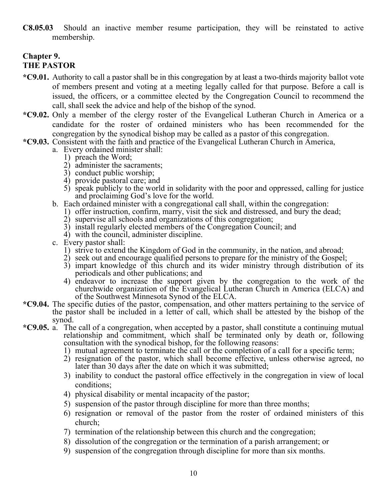**C8.05.03** Should an inactive member resume participation, they will be reinstated to active membership.

#### **Chapter 9. THE PASTOR**

- **\*C9.01.** Authority to call a pastor shall be in this congregation by at least a two-thirds majority ballot vote of members present and voting at a meeting legally called for that purpose. Before a call is issued, the officers, or a committee elected by the Congregation Council to recommend the call, shall seek the advice and help of the bishop of the synod.
- **\*C9.02.** Only a member of the clergy roster of the Evangelical Lutheran Church in America or a candidate for the roster of ordained ministers who has been recommended for the congregation by the synodical bishop may be called as a pastor of this congregation.
- **\*C9.03.** Consistent with the faith and practice of the Evangelical Lutheran Church in America,
	- a. Every ordained minister shall:
		- 1) preach the Word;
		- 2) administer the sacraments;
		- 3) conduct public worship;
		- 4) provide pastoral care; and
		- 5) speak publicly to the world in solidarity with the poor and oppressed, calling for justice and proclaiming God's love for the world.
	- b. Each ordained minister with a congregational call shall, within the congregation:
		- 1) offer instruction, confirm, marry, visit the sick and distressed, and bury the dead;
		- 2) supervise all schools and organizations of this congregation;
		- 3) install regularly elected members of the Congregation Council; and
		- 4) with the council, administer discipline.
	- c. Every pastor shall:
		- 1) strive to extend the Kingdom of God in the community, in the nation, and abroad;
		- 2) seek out and encourage qualified persons to prepare for the ministry of the Gospel;
		- 3) impart knowledge of this church and its wider ministry through distribution of its periodicals and other publications; and
		- 4) endeavor to increase the support given by the congregation to the work of the churchwide organization of the Evangelical Lutheran Church in America (ELCA) and of the Southwest Minnesota Synod of the ELCA.
- **\*C9.04.** The specific duties of the pastor, compensation, and other matters pertaining to the service of the pastor shall be included in a letter of call, which shall be attested by the bishop of the synod.
- **\*C9.05.** a. The call of a congregation, when accepted by a pastor, shall constitute a continuing mutual relationship and commitment, which shall be terminated only by death or, following consultation with the synodical bishop, for the following reasons:
	- 1) mutual agreement to terminate the call or the completion of a call for a specific term;
	- 2) resignation of the pastor, which shall become effective, unless otherwise agreed, no later than 30 days after the date on which it was submitted;
	- 3) inability to conduct the pastoral office effectively in the congregation in view of local conditions;
	- 4) physical disability or mental incapacity of the pastor;
	- 5) suspension of the pastor through discipline for more than three months;
	- 6) resignation or removal of the pastor from the roster of ordained ministers of this church;
	- 7) termination of the relationship between this church and the congregation;
	- 8) dissolution of the congregation or the termination of a parish arrangement; or
	- 9) suspension of the congregation through discipline for more than six months.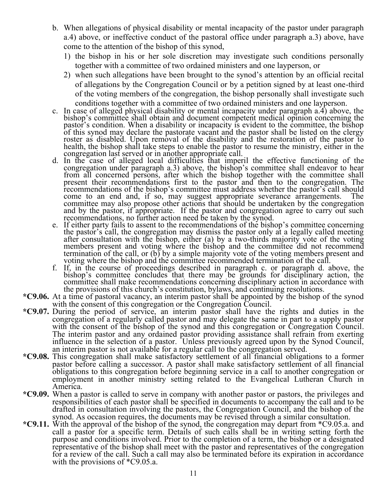- b. When allegations of physical disability or mental incapacity of the pastor under paragraph a.4) above, or ineffective conduct of the pastoral office under paragraph a.3) above, have come to the attention of the bishop of this synod,
	- 1) the bishop in his or her sole discretion may investigate such conditions personally together with a committee of two ordained ministers and one layperson, or
	- 2) when such allegations have been brought to the synod's attention by an official recital of allegations by the Congregation Council or by a petition signed by at least one-third of the voting members of the congregation, the bishop personally shall investigate such conditions together with a committee of two ordained ministers and one layperson.
- c. In case of alleged physical disability or mental incapacity under paragraph a.4) above, the bishop's committee shall obtain and document competent medical opinion concerning the pastor's condition. When a disability or incapacity is evident to the committee, the bishop of this synod may declare the pastorate vacant and the pastor shall be listed on the clergy roster as disabled. Upon removal of the disability and the restoration of the pastor to health, the bishop shall take steps to enable the pastor to resume the ministry, either in the congregation last served or in another appropriate call.
- d. In the case of alleged local difficulties that imperil the effective functioning of the congregation under paragraph a.3) above, the bishop's committee shall endeavor to hear from all concerned persons, after which the bishop together with the committee shall present their recommendations first to the pastor and then to the congregation. The recommendations of the bishop's committee must address whether the pastor's call should come to an end and, if so, may suggest appropriate severance arrangements. The committee may also propose other actions that should be undertaken by the congregation and by the pastor, if appropriate. If the pastor and congregation agree to carry out such recommendations, no further action need be taken by the synod.
- e. If either party fails to assent to the recommendations of the bishop's committee concerning the pastor's call, the congregation may dismiss the pastor only at a legally called meeting after consultation with the bishop, either (a) by a two-thirds majority vote of the voting members present and voting where the bishop and the committee did not recommend termination of the call, or (b) by a simple majority vote of the voting members present and voting where the bishop and the committee recommended termination of the call.
- f. If, in the course of proceedings described in paragraph c. or paragraph d. above, the bishop's committee concludes that there may be grounds for disciplinary action, the committee shall make recommendations concerning disciplinary action in accordance with the provisions of this church's constitution, bylaws, and continuing resolutions.
- **\*C9.06.** At a time of pastoral vacancy, an interim pastor shall be appointed by the bishop of the synod with the consent of this congregation or the Congregation Council.
- **\*C9.07.** During the period of service, an interim pastor shall have the rights and duties in the congregation of a regularly called pastor and may delegate the same in part to a supply pastor with the consent of the bishop of the synod and this congregation or Congregation Council. The interim pastor and any ordained pastor providing assistance shall refrain from exerting influence in the selection of a pastor. Unless previously agreed upon by the Synod Council, an interim pastor is not available for a regular call to the congregation served.
- **\*C9.08.** This congregation shall make satisfactory settlement of all financial obligations to a former pastor before calling a successor. A pastor shall make satisfactory settlement of all financial obligations to this congregation before beginning service in a call to another congregation or employment in another ministry setting related to the Evangelical Lutheran Church in America.
- **\*C9.09.** When a pastor is called to serve in company with another pastor or pastors, the privileges and responsibilities of each pastor shall be specified in documents to accompany the call and to be drafted in consultation involving the pastors, the Congregation Council, and the bishop of the synod. As occasion requires, the documents may be revised through a similar consultation.
- **\*C9.11.** With the approval of the bishop of the synod, the congregation may depart from \*C9.05.a. and call a pastor for a specific term. Details of such calls shall be in writing setting forth the purpose and conditions involved. Prior to the completion of a term, the bishop or a designated representative of the bishop shall meet with the pastor and representatives of the congregation for a review of the call. Such a call may also be terminated before its expiration in accordance with the provisions of  $^*C9.05.a$ .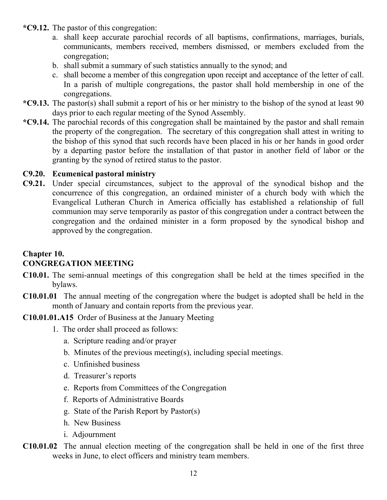- **\*C9.12.** The pastor of this congregation:
	- a. shall keep accurate parochial records of all baptisms, confirmations, marriages, burials, communicants, members received, members dismissed, or members excluded from the congregation;
	- b. shall submit a summary of such statistics annually to the synod; and
	- c. shall become a member of this congregation upon receipt and acceptance of the letter of call. In a parish of multiple congregations, the pastor shall hold membership in one of the congregations.
- **\*C9.13.** The pastor(s) shall submit a report of his or her ministry to the bishop of the synod at least 90 days prior to each regular meeting of the Synod Assembly.
- **\*C9.14.** The parochial records of this congregation shall be maintained by the pastor and shall remain the property of the congregation. The secretary of this congregation shall attest in writing to the bishop of this synod that such records have been placed in his or her hands in good order by a departing pastor before the installation of that pastor in another field of labor or the granting by the synod of retired status to the pastor.

#### **C9.20. Ecumenical pastoral ministry**

**C9.21.** Under special circumstances, subject to the approval of the synodical bishop and the concurrence of this congregation, an ordained minister of a church body with which the Evangelical Lutheran Church in America officially has established a relationship of full communion may serve temporarily as pastor of this congregation under a contract between the congregation and the ordained minister in a form proposed by the synodical bishop and approved by the congregation.

#### **Chapter 10. CONGREGATION MEETING**

- **C10.01.** The semi-annual meetings of this congregation shall be held at the times specified in the bylaws.
- **C10.01.01** The annual meeting of the congregation where the budget is adopted shall be held in the month of January and contain reports from the previous year.

#### **C10.01.01.A15** Order of Business at the January Meeting

- 1. The order shall proceed as follows:
	- a. Scripture reading and/or prayer
	- b. Minutes of the previous meeting(s), including special meetings.
	- c. Unfinished business
	- d. Treasurer's reports
	- e. Reports from Committees of the Congregation
	- f. Reports of Administrative Boards
	- g. State of the Parish Report by Pastor(s)
	- h. New Business
	- i. Adjournment
- **C10.01.02** The annual election meeting of the congregation shall be held in one of the first three weeks in June, to elect officers and ministry team members.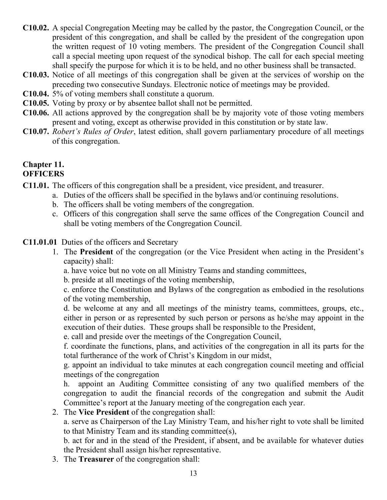- **C10.02.** A special Congregation Meeting may be called by the pastor, the Congregation Council, or the president of this congregation, and shall be called by the president of the congregation upon the written request of 10 voting members. The president of the Congregation Council shall call a special meeting upon request of the synodical bishop. The call for each special meeting shall specify the purpose for which it is to be held, and no other business shall be transacted.
- **C10.03.** Notice of all meetings of this congregation shall be given at the services of worship on the preceding two consecutive Sundays. Electronic notice of meetings may be provided.
- **C10.04.** 5% of voting members shall constitute a quorum.
- **C10.05.** Voting by proxy or by absentee ballot shall not be permitted.
- **C10.06.** All actions approved by the congregation shall be by majority vote of those voting members present and voting, except as otherwise provided in this constitution or by state law.
- **C10.07.** *Robert's Rules of Order*, latest edition, shall govern parliamentary procedure of all meetings of this congregation.

# **Chapter 11.**

# **OFFICERS**

- **C11.01.** The officers of this congregation shall be a president, vice president, and treasurer.
	- a. Duties of the officers shall be specified in the bylaws and/or continuing resolutions.
	- b. The officers shall be voting members of the congregation.
	- c. Officers of this congregation shall serve the same offices of the Congregation Council and shall be voting members of the Congregation Council.
- **C11.01.01** Duties of the officers and Secretary
	- 1. The **President** of the congregation (or the Vice President when acting in the President's capacity) shall:
		- a. have voice but no vote on all Ministry Teams and standing committees,
		- b. preside at all meetings of the voting membership,
		- c. enforce the Constitution and Bylaws of the congregation as embodied in the resolutions of the voting membership,

d. be welcome at any and all meetings of the ministry teams, committees, groups, etc., either in person or as represented by such person or persons as he/she may appoint in the execution of their duties. These groups shall be responsible to the President,

e. call and preside over the meetings of the Congregation Council,

f. coordinate the functions, plans, and activities of the congregation in all its parts for the total furtherance of the work of Christ's Kingdom in our midst,

g. appoint an individual to take minutes at each congregation council meeting and official meetings of the congregation

h. appoint an Auditing Committee consisting of any two qualified members of the congregation to audit the financial records of the congregation and submit the Audit Committee's report at the January meeting of the congregation each year.

2. The **Vice President** of the congregation shall:

a. serve as Chairperson of the Lay Ministry Team, and his/her right to vote shall be limited to that Ministry Team and its standing committee(s),

b. act for and in the stead of the President, if absent, and be available for whatever duties the President shall assign his/her representative.

3. The **Treasurer** of the congregation shall: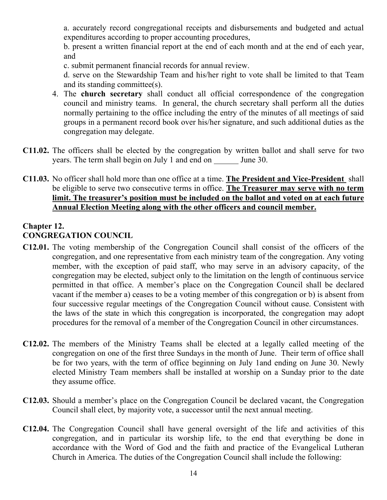a. accurately record congregational receipts and disbursements and budgeted and actual expenditures according to proper accounting procedures,

b. present a written financial report at the end of each month and at the end of each year, and

c. submit permanent financial records for annual review.

d. serve on the Stewardship Team and his/her right to vote shall be limited to that Team and its standing committee(s).

- 4. The **church secretary** shall conduct all official correspondence of the congregation council and ministry teams. In general, the church secretary shall perform all the duties normally pertaining to the office including the entry of the minutes of all meetings of said groups in a permanent record book over his/her signature, and such additional duties as the congregation may delegate.
- **C11.02.** The officers shall be elected by the congregation by written ballot and shall serve for two years. The term shall begin on July 1 and end on June 30.
- **C11.03.** No officer shall hold more than one office at a time. **The President and Vice-President** shall be eligible to serve two consecutive terms in office. **The Treasurer may serve with no term**  limit. The treasurer's position must be included on the ballot and voted on at each future **Annual Election Meeting along with the other officers and council member.**

#### **Chapter 12. CONGREGATION COUNCIL**

- **C12.01.** The voting membership of the Congregation Council shall consist of the officers of the congregation, and one representative from each ministry team of the congregation. Any voting member, with the exception of paid staff, who may serve in an advisory capacity, of the congregation may be elected, subject only to the limitation on the length of continuous service permitted in that office. A member's place on the Congregation Council shall be declared vacant if the member a) ceases to be a voting member of this congregation or b) is absent from four successive regular meetings of the Congregation Council without cause. Consistent with the laws of the state in which this congregation is incorporated, the congregation may adopt procedures for the removal of a member of the Congregation Council in other circumstances.
- **C12.02.** The members of the Ministry Teams shall be elected at a legally called meeting of the congregation on one of the first three Sundays in the month of June. Their term of office shall be for two years, with the term of office beginning on July 1and ending on June 30. Newly elected Ministry Team members shall be installed at worship on a Sunday prior to the date they assume office.
- **C12.03.** Should a member's place on the Congregation Council be declared vacant, the Congregation Council shall elect, by majority vote, a successor until the next annual meeting.
- **C12.04.** The Congregation Council shall have general oversight of the life and activities of this congregation, and in particular its worship life, to the end that everything be done in accordance with the Word of God and the faith and practice of the Evangelical Lutheran Church in America. The duties of the Congregation Council shall include the following: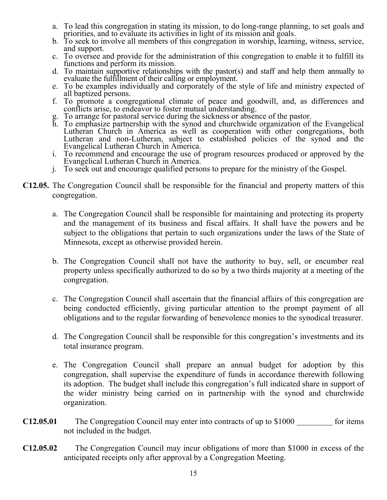- a. To lead this congregation in stating its mission, to do long-range planning, to set goals and priorities, and to evaluate its activities in light of its mission and goals.
- b. To seek to involve all members of this congregation in worship, learning, witness, service, and support.
- c. To oversee and provide for the administration of this congregation to enable it to fulfill its functions and perform its mission.
- d. To maintain supportive relationships with the pastor(s) and staff and help them annually to evaluate the fulfillment of their calling or employment.
- e. To be examples individually and corporately of the style of life and ministry expected of all baptized persons.
- f. To promote a congregational climate of peace and goodwill, and, as differences and conflicts arise, to endeavor to foster mutual understanding.
- g. To arrange for pastoral service during the sickness or absence of the pastor.
- h. To emphasize partnership with the synod and churchwide organization of the Evangelical Lutheran Church in America as well as cooperation with other congregations, both Lutheran and non-Lutheran, subject to established policies of the synod and the Evangelical Lutheran Church in America.
- i. To recommend and encourage the use of program resources produced or approved by the Evangelical Lutheran Church in America.
- j. To seek out and encourage qualified persons to prepare for the ministry of the Gospel.
- **C12.05.** The Congregation Council shall be responsible for the financial and property matters of this congregation.
	- a. The Congregation Council shall be responsible for maintaining and protecting its property and the management of its business and fiscal affairs. It shall have the powers and be subject to the obligations that pertain to such organizations under the laws of the State of Minnesota, except as otherwise provided herein.
	- b. The Congregation Council shall not have the authority to buy, sell, or encumber real property unless specifically authorized to do so by a two thirds majority at a meeting of the congregation.
	- c. The Congregation Council shall ascertain that the financial affairs of this congregation are being conducted efficiently, giving particular attention to the prompt payment of all obligations and to the regular forwarding of benevolence monies to the synodical treasurer.
	- d. The Congregation Council shall be responsible for this congregation's investments and its total insurance program.
	- e. The Congregation Council shall prepare an annual budget for adoption by this congregation, shall supervise the expenditure of funds in accordance therewith following its adoption. The budget shall include this congregation's full indicated share in support of the wider ministry being carried on in partnership with the synod and churchwide organization.
- C12.05.01 The Congregation Council may enter into contracts of up to \$1000 for items not included in the budget.
- **C12.05.02** The Congregation Council may incur obligations of more than \$1000 in excess of the anticipated receipts only after approval by a Congregation Meeting.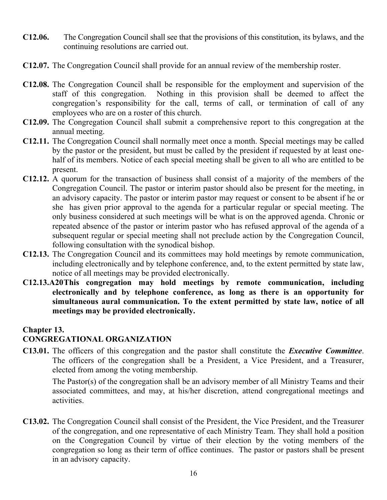- **C12.06.** The Congregation Council shall see that the provisions of this constitution, its bylaws, and the continuing resolutions are carried out.
- **C12.07.** The Congregation Council shall provide for an annual review of the membership roster.
- **C12.08.** The Congregation Council shall be responsible for the employment and supervision of the staff of this congregation. Nothing in this provision shall be deemed to affect the congregation's responsibility for the call, terms of call, or termination of call of any employees who are on a roster of this church.
- **C12.09.** The Congregation Council shall submit a comprehensive report to this congregation at the annual meeting.
- **C12.11.** The Congregation Council shall normally meet once a month. Special meetings may be called by the pastor or the president, but must be called by the president if requested by at least onehalf of its members. Notice of each special meeting shall be given to all who are entitled to be present.
- **C12.12.** A quorum for the transaction of business shall consist of a majority of the members of the Congregation Council. The pastor or interim pastor should also be present for the meeting, in an advisory capacity. The pastor or interim pastor may request or consent to be absent if he or she has given prior approval to the agenda for a particular regular or special meeting. The only business considered at such meetings will be what is on the approved agenda. Chronic or repeated absence of the pastor or interim pastor who has refused approval of the agenda of a subsequent regular or special meeting shall not preclude action by the Congregation Council, following consultation with the synodical bishop.
- **C12.13.** The Congregation Council and its committees may hold meetings by remote communication, including electronically and by telephone conference, and, to the extent permitted by state law, notice of all meetings may be provided electronically.
- **C12.13.A20This congregation may hold meetings by remote communication, including electronically and by telephone conference, as long as there is an opportunity for simultaneous aural communication. To the extent permitted by state law, notice of all meetings may be provided electronically.**

#### **Chapter 13.**

#### **CONGREGATIONAL ORGANIZATION**

**C13.01.** The officers of this congregation and the pastor shall constitute the *Executive Committee*. The officers of the congregation shall be a President, a Vice President, and a Treasurer, elected from among the voting membership.

The Pastor(s) of the congregation shall be an advisory member of all Ministry Teams and their associated committees, and may, at his/her discretion, attend congregational meetings and activities.

**C13.02.** The Congregation Council shall consist of the President, the Vice President, and the Treasurer of the congregation, and one representative of each Ministry Team. They shall hold a position on the Congregation Council by virtue of their election by the voting members of the congregation so long as their term of office continues. The pastor or pastors shall be present in an advisory capacity.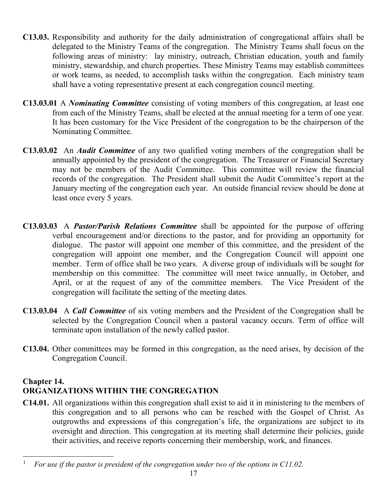- **C13.03.** Responsibility and authority for the daily administration of congregational affairs shall be delegated to the Ministry Teams of the congregation. The Ministry Teams shall focus on the following areas of ministry: lay ministry, outreach, Christian education, youth and family ministry, stewardship, and church properties. These Ministry Teams may establish committees or work teams, as needed, to accomplish tasks within the congregation. Each ministry team shall have a voting representative present at each congregation council meeting.
- **C13.03.01** A *Nominating Committee* consisting of voting members of this congregation, at least one from each of the Ministry Teams, shall be elected at the annual meeting for a term of one year. It has been customary for the Vice President of the congregation to be the chairperson of the Nominating Committee.
- **C13.03.02** An *Audit Committee* of any two qualified voting members of the congregation shall be annually appointed by the president of the congregation. The Treasurer or Financial Secretary may not be members of the Audit Committee. This committee will review the financial records of the congregation. The President shall submit the Audit Committee's report at the January meeting of the congregation each year. An outside financial review should be done at least once every 5 years.
- **C13.03.03** A *Pastor/Parish Relations Committee* shall be appointed for the purpose of offering verbal encouragement and/or directions to the pastor, and for providing an opportunity for dialogue. The pastor will appoint one member of this committee, and the president of the congregation will appoint one member, and the Congregation Council will appoint one member. Term of office shall be two years. A diverse group of individuals will be sought for membership on this committee. The committee will meet twice annually, in October, and April, or at the request of any of the committee members. The Vice President of the congregation will facilitate the setting of the meeting dates.
- **C13.03.04** A *Call Committee* of six voting members and the President of the Congregation shall be selected by the Congregation Council when a pastoral vacancy occurs. Term of office will terminate upon installation of the newly called pastor.
- **C13.04.** Other committees may be formed in this congregation, as the need arises, by decision of the Congregation Council.

# **Chapter 14. ORGANIZATIONS WITHIN THE CONGREGATION**

**C14.01.** All organizations within this congregation shall exist to aid it in ministering to the members of this congregation and to all persons who can be reached with the Gospel of Christ. As outgrowths and expressions of this congregation's life, the organizations are subject to its oversight and direction. This congregation at its meeting shall determine their policies, guide their activities, and receive reports concerning their membership, work, and finances.

<sup>1</sup> *For use if the pastor is president of the congregation under two of the options in C11.02.*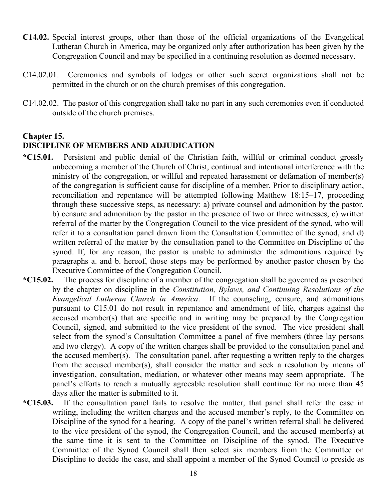- **C14.02.** Special interest groups, other than those of the official organizations of the Evangelical Lutheran Church in America, may be organized only after authorization has been given by the Congregation Council and may be specified in a continuing resolution as deemed necessary.
- C14.02.01. Ceremonies and symbols of lodges or other such secret organizations shall not be permitted in the church or on the church premises of this congregation.
- C14.02.02. The pastor of this congregation shall take no part in any such ceremonies even if conducted outside of the church premises.

#### **Chapter 15.**

#### **DISCIPLINE OF MEMBERS AND ADJUDICATION**

- **\*C15.01.** Persistent and public denial of the Christian faith, willful or criminal conduct grossly unbecoming a member of the Church of Christ, continual and intentional interference with the ministry of the congregation, or willful and repeated harassment or defamation of member(s) of the congregation is sufficient cause for discipline of a member. Prior to disciplinary action, reconciliation and repentance will be attempted following Matthew 18:15–17, proceeding through these successive steps, as necessary: a) private counsel and admonition by the pastor, b) censure and admonition by the pastor in the presence of two or three witnesses, c) written referral of the matter by the Congregation Council to the vice president of the synod, who will refer it to a consultation panel drawn from the Consultation Committee of the synod, and d) written referral of the matter by the consultation panel to the Committee on Discipline of the synod. If, for any reason, the pastor is unable to administer the admonitions required by paragraphs a. and b. hereof, those steps may be performed by another pastor chosen by the Executive Committee of the Congregation Council.
- **\*C15.02.** The process for discipline of a member of the congregation shall be governed as prescribed by the chapter on discipline in the *Constitution, Bylaws, and Continuing Resolutions of the Evangelical Lutheran Church in America*. If the counseling, censure, and admonitions pursuant to C15.01 do not result in repentance and amendment of life, charges against the accused member(s) that are specific and in writing may be prepared by the Congregation Council, signed, and submitted to the vice president of the synod. The vice president shall select from the synod's Consultation Committee a panel of five members (three lay persons and two clergy). A copy of the written charges shall be provided to the consultation panel and the accused member(s). The consultation panel, after requesting a written reply to the charges from the accused member(s), shall consider the matter and seek a resolution by means of investigation, consultation, mediation, or whatever other means may seem appropriate. The panel's efforts to reach a mutually agreeable resolution shall continue for no more than 45 days after the matter is submitted to it.
- **\*C15.03.** If the consultation panel fails to resolve the matter, that panel shall refer the case in writing, including the written charges and the accused member's reply, to the Committee on Discipline of the synod for a hearing. A copy of the panel's written referral shall be delivered to the vice president of the synod, the Congregation Council, and the accused member(s) at the same time it is sent to the Committee on Discipline of the synod. The Executive Committee of the Synod Council shall then select six members from the Committee on Discipline to decide the case, and shall appoint a member of the Synod Council to preside as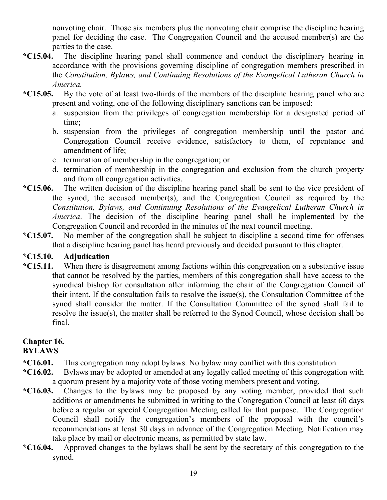nonvoting chair. Those six members plus the nonvoting chair comprise the discipline hearing panel for deciding the case. The Congregation Council and the accused member(s) are the parties to the case.

- **\*C15.04.** The discipline hearing panel shall commence and conduct the disciplinary hearing in accordance with the provisions governing discipline of congregation members prescribed in the *Constitution, Bylaws, and Continuing Resolutions of the Evangelical Lutheran Church in America.*
- **\*C15.05.** By the vote of at least two-thirds of the members of the discipline hearing panel who are present and voting, one of the following disciplinary sanctions can be imposed:
	- a. suspension from the privileges of congregation membership for a designated period of time;
	- b. suspension from the privileges of congregation membership until the pastor and Congregation Council receive evidence, satisfactory to them, of repentance and amendment of life;
	- c. termination of membership in the congregation; or
	- d. termination of membership in the congregation and exclusion from the church property and from all congregation activities.
- **\*C15.06.** The written decision of the discipline hearing panel shall be sent to the vice president of the synod, the accused member(s), and the Congregation Council as required by the *Constitution, Bylaws, and Continuing Resolutions of the Evangelical Lutheran Church in America*. The decision of the discipline hearing panel shall be implemented by the Congregation Council and recorded in the minutes of the next council meeting.
- **\*C15.07.** No member of the congregation shall be subject to discipline a second time for offenses that a discipline hearing panel has heard previously and decided pursuant to this chapter.

#### **\*C15.10. Adjudication**

**\*C15.11.** When there is disagreement among factions within this congregation on a substantive issue that cannot be resolved by the parties, members of this congregation shall have access to the synodical bishop for consultation after informing the chair of the Congregation Council of their intent. If the consultation fails to resolve the issue(s), the Consultation Committee of the synod shall consider the matter. If the Consultation Committee of the synod shall fail to resolve the issue(s), the matter shall be referred to the Synod Council, whose decision shall be final.

# **Chapter 16.**

#### **BYLAWS**

- **\*C16.01.** This congregation may adopt bylaws. No bylaw may conflict with this constitution.
- **\*C16.02.** Bylaws may be adopted or amended at any legally called meeting of this congregation with a quorum present by a majority vote of those voting members present and voting.
- **\*C16.03.** Changes to the bylaws may be proposed by any voting member, provided that such additions or amendments be submitted in writing to the Congregation Council at least 60 days before a regular or special Congregation Meeting called for that purpose. The Congregation Council shall notify the congregation's members of the proposal with the council's recommendations at least 30 days in advance of the Congregation Meeting. Notification may take place by mail or electronic means, as permitted by state law.
- **\*C16.04.** Approved changes to the bylaws shall be sent by the secretary of this congregation to the synod.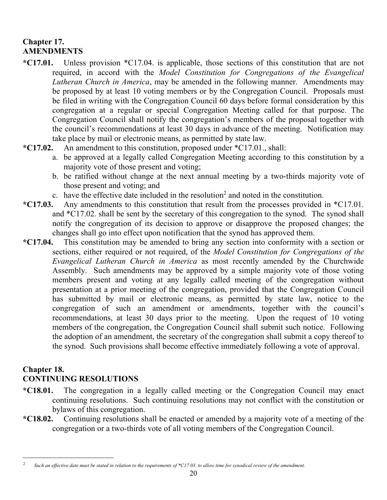# **Chapter 17. AMENDMENTS**

- **\*C17.01.** Unless provision \*C17.04. is applicable, those sections of this constitution that are not required, in accord with the *Model Constitution for Congregations of the Evangelical Lutheran Church in America*, may be amended in the following manner. Amendments may be proposed by at least 10 voting members or by the Congregation Council. Proposals must be filed in writing with the Congregation Council 60 days before formal consideration by this congregation at a regular or special Congregation Meeting called for that purpose. The Congregation Council shall notify the congregation's members of the proposal together with the council's recommendations at least 30 days in advance of the meeting. Notification may take place by mail or electronic means, as permitted by state law.
- **\*C17.02.** An amendment to this constitution, proposed under \*C17.01., shall:
	- a. be approved at a legally called Congregation Meeting according to this constitution by a majority vote of those present and voting;
	- b. be ratified without change at the next annual meeting by a two-thirds majority vote of those present and voting; and
	- c. have the effective date included in the resolution<sup>2</sup> and noted in the constitution.
- **\*C17.03.** Any amendments to this constitution that result from the processes provided in \*C17.01. and \*C17.02. shall be sent by the secretary of this congregation to the synod. The synod shall notify the congregation of its decision to approve or disapprove the proposed changes; the changes shall go into effect upon notification that the synod has approved them.
- **\*C17.04.** This constitution may be amended to bring any section into conformity with a section or sections, either required or not required, of the *Model Constitution for Congregations of the Evangelical Lutheran Church in America* as most recently amended by the Churchwide Assembly. Such amendments may be approved by a simple majority vote of those voting members present and voting at any legally called meeting of the congregation without presentation at a prior meeting of the congregation, provided that the Congregation Council has submitted by mail or electronic means, as permitted by state law, notice to the congregation of such an amendment or amendments, together with the council's recommendations, at least 30 days prior to the meeting. Upon the request of 10 voting members of the congregation, the Congregation Council shall submit such notice. Following the adoption of an amendment, the secretary of the congregation shall submit a copy thereof to the synod. Such provisions shall become effective immediately following a vote of approval.

#### **Chapter 18.**

# **CONTINUING RESOLUTIONS**

- **\*C18.01.** The congregation in a legally called meeting or the Congregation Council may enact continuing resolutions. Such continuing resolutions may not conflict with the constitution or bylaws of this congregation.
- **\*C18.02.** Continuing resolutions shall be enacted or amended by a majority vote of a meeting of the congregation or a two-thirds vote of all voting members of the Congregation Council.

<sup>2</sup> *Such an effective date must be stated in relation to the requirements of \*C17.03. to allow time for synodical review of the amendment.*